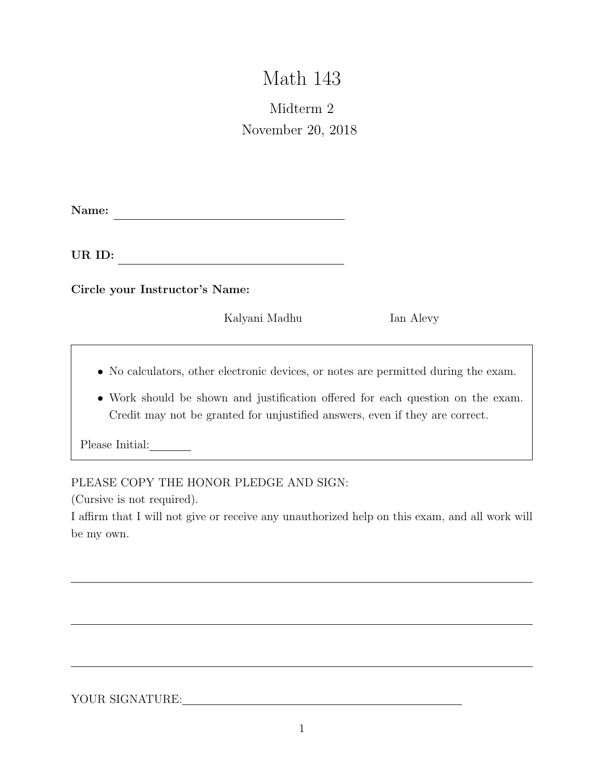# Math 143

# Midterm 2 November 20, 2018

Name:

<u> 1980 - Johann Barbara, martxa amerikan per</u> UR ID:

Circle your Instructor's Name:

Kalyani Madhu Ian Alevy

- No calculators, other electronic devices, or notes are permitted during the exam.
- Work should be shown and justification offered for each question on the exam. Credit may not be granted for unjustified answers, even if they are correct.

Please Initial:

PLEASE COPY THE HONOR PLEDGE AND SIGN:

(Cursive is not required).

I affirm that I will not give or receive any unauthorized help on this exam, and all work will be my own.

YOUR SIGNATURE: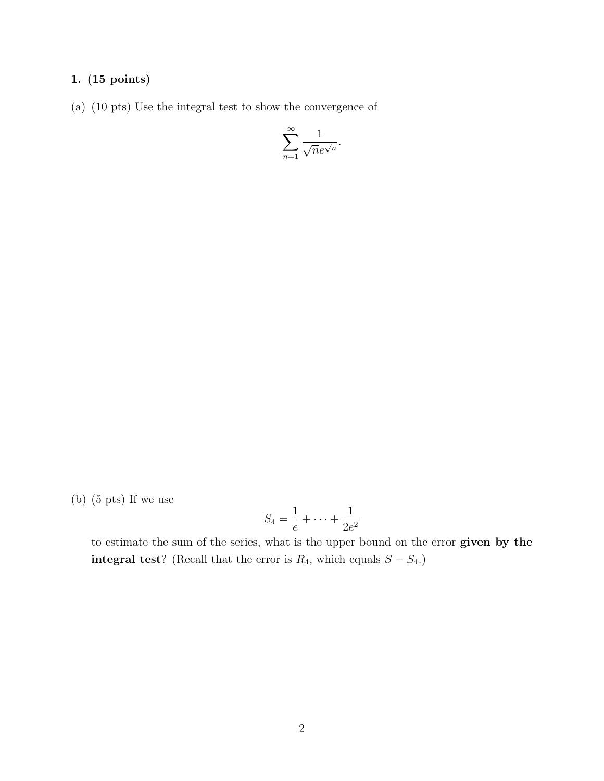#### 1. (15 points)

(a) (10 pts) Use the integral test to show the convergence of

$$
\sum_{n=1}^{\infty} \frac{1}{\sqrt{n}e^{\sqrt{n}}}.
$$

(b) (5 pts) If we use

$$
S_4 = \frac{1}{e} + \dots + \frac{1}{2e^2}
$$

to estimate the sum of the series, what is the upper bound on the error given by the **integral test**? (Recall that the error is  $R_4$ , which equals  $S - S_4$ .)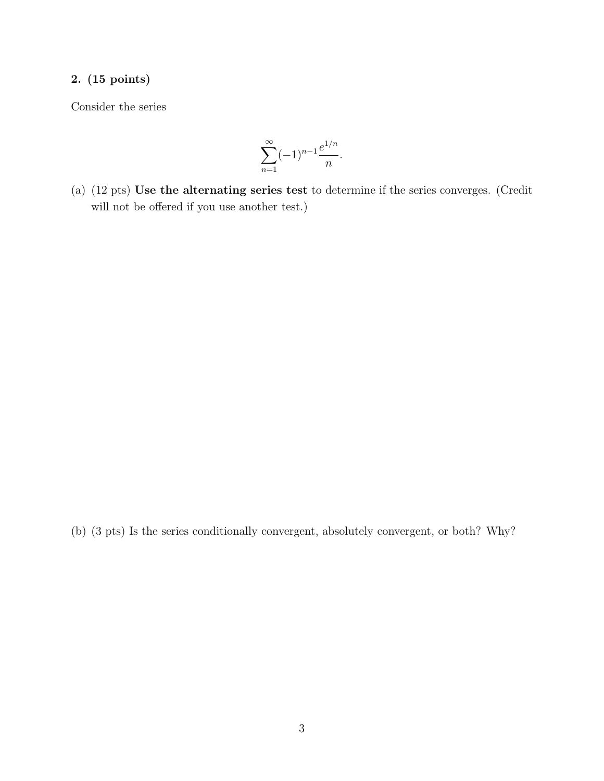## 2. (15 points)

Consider the series

$$
\sum_{n=1}^{\infty} (-1)^{n-1} \frac{e^{1/n}}{n}.
$$

(a) (12 pts) Use the alternating series test to determine if the series converges. (Credit will not be offered if you use another test.)

(b) (3 pts) Is the series conditionally convergent, absolutely convergent, or both? Why?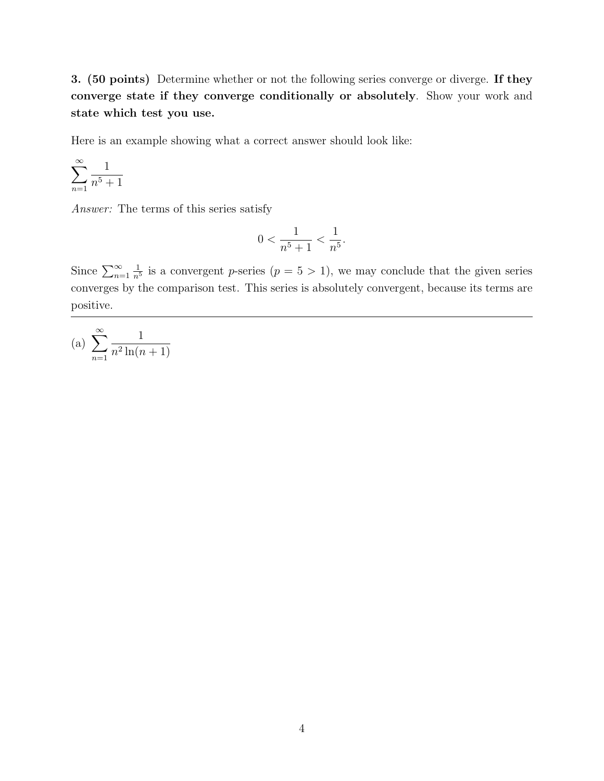3. (50 points) Determine whether or not the following series converge or diverge. If they converge state if they converge conditionally or absolutely. Show your work and state which test you use.

Here is an example showing what a correct answer should look like:

$$
\sum_{n=1}^{\infty} \frac{1}{n^5 + 1}
$$

Answer: The terms of this series satisfy

$$
0 < \frac{1}{n^5 + 1} < \frac{1}{n^5}.
$$

Since  $\sum_{n=1}^{\infty}$ 1  $\frac{1}{n^5}$  is a convergent p-series  $(p = 5 > 1)$ , we may conclude that the given series converges by the comparison test. This series is absolutely convergent, because its terms are positive.

(a) 
$$
\sum_{n=1}^{\infty} \frac{1}{n^2 \ln(n+1)}
$$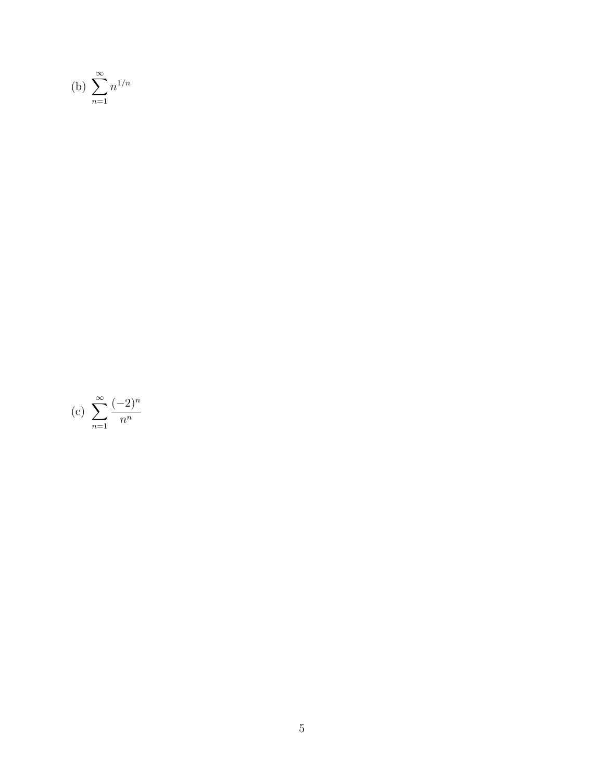(b) 
$$
\sum_{n=1}^{\infty} n^{1/n}
$$

(c) 
$$
\sum_{n=1}^{\infty} \frac{(-2)^n}{n^n}
$$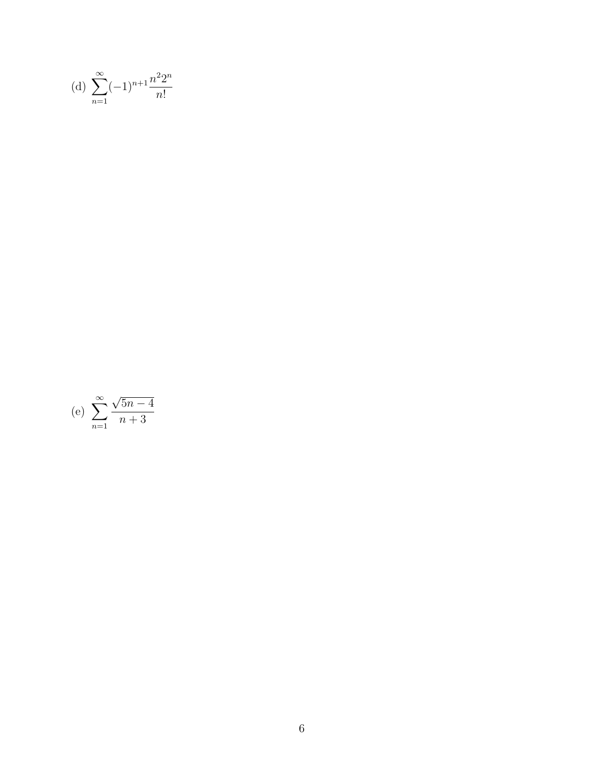(d) 
$$
\sum_{n=1}^{\infty} (-1)^{n+1} \frac{n^2 2^n}{n!}
$$

(e) 
$$
\sum_{n=1}^{\infty} \frac{\sqrt{5n-4}}{n+3}
$$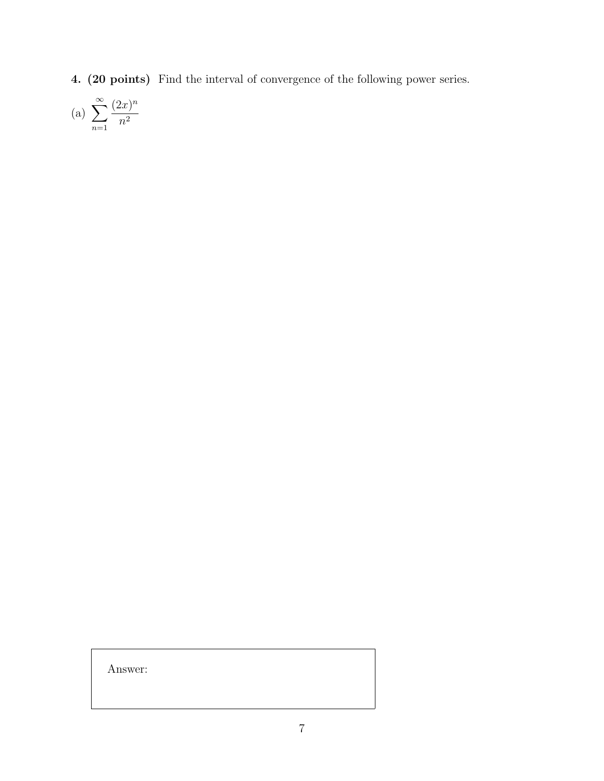4. (20 points) Find the interval of convergence of the following power series.

$$
(a) \sum_{n=1}^{\infty} \frac{(2x)^n}{n^2}
$$

Answer: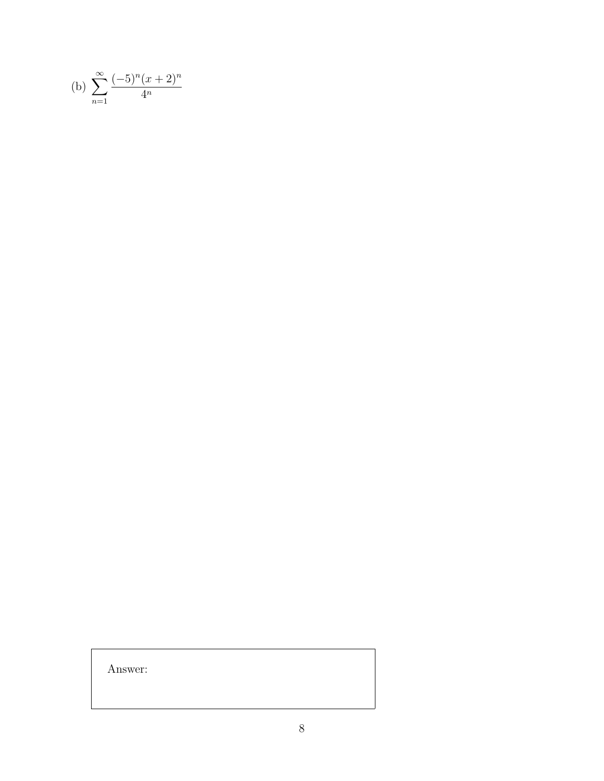$Answer:$ 

(b) 
$$
\sum_{n=1}^{\infty} \frac{(-5)^n (x+2)^n}{4^n}
$$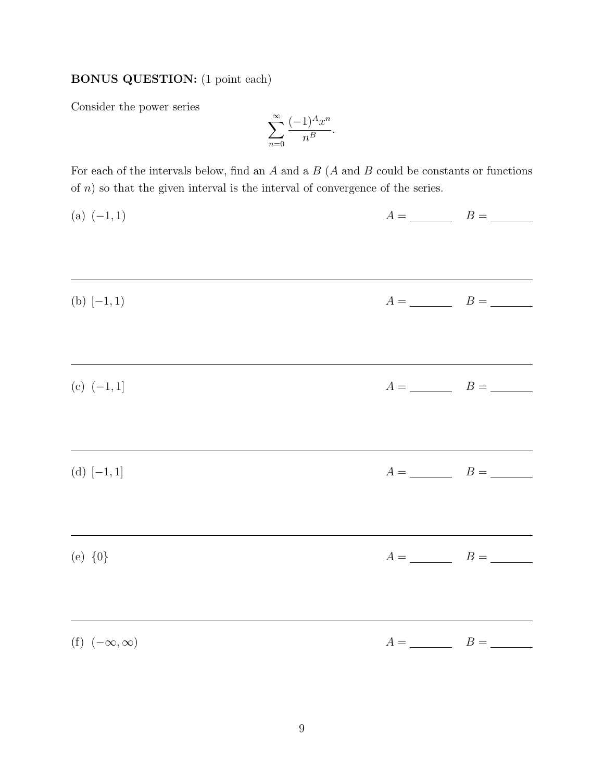## BONUS QUESTION: (1 point each)

Consider the power series

$$
\sum_{n=0}^{\infty} \frac{(-1)^A x^n}{n^B}.
$$

For each of the intervals below, find an  $A$  and a  $B(A \text{ and } B \text{ could be constants or functions})$ of  $n$ ) so that the given interval is the interval of convergence of the series.

| (a) $(-1,1)$            | $A = \underline{\hspace{1cm}} B = \underline{\hspace{1cm}}$        |
|-------------------------|--------------------------------------------------------------------|
|                         |                                                                    |
| (b) $[-1, 1)$           | $A = \underline{\hspace{1cm}} B = \underline{\hspace{1cm}}$        |
|                         |                                                                    |
| (c) $(-1, 1]$           | $A = \underline{\hspace{1cm}} \qquad B = \underline{\hspace{1cm}}$ |
|                         |                                                                    |
| (d) $[-1, 1]$           | $A = \_$ $B = \_$                                                  |
| (e) ${0}$               | $A = \_$ $B = \_$                                                  |
|                         |                                                                    |
| (f) $(-\infty, \infty)$ | $A = \_$ $B = \_$                                                  |